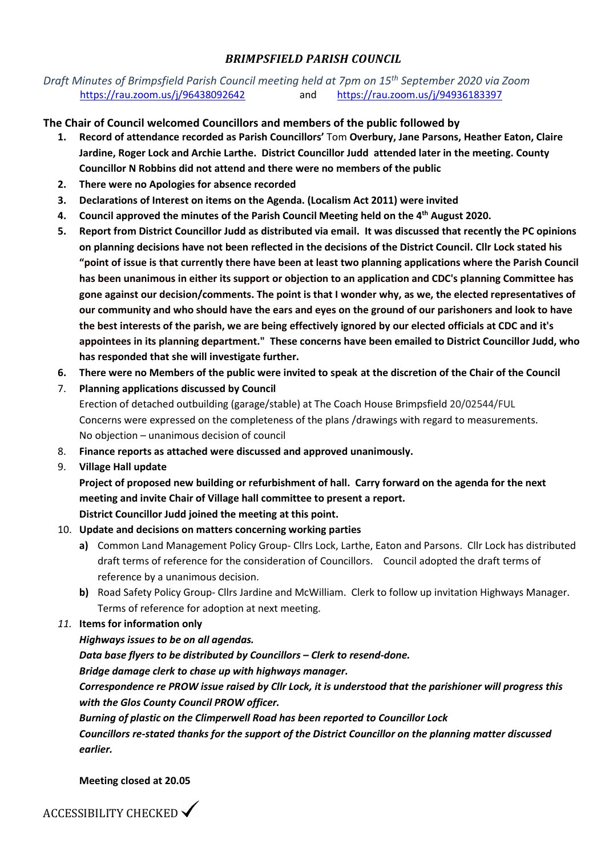### *BRIMPSFIELD PARISH COUNCIL*

### *Draft Minutes of Brimpsfield Parish Council meeting held at 7pm on 15th September 2020 via Zoom* <https://rau.zoom.us/j/96438092642> and <https://rau.zoom.us/j/94936183397>

**The Chair of Council welcomed Councillors and members of the public followed by**

- **1. Record of attendance recorded as Parish Councillors'** Tom **Overbury, Jane Parsons, Heather Eaton, Claire Jardine, Roger Lock and Archie Larthe. District Councillor Judd attended later in the meeting. County Councillor N Robbins did not attend and there were no members of the public**
- **2. There were no Apologies for absence recorded**
- **3. Declarations of Interest on items on the Agenda. (Localism Act 2011) were invited**
- **4. Council approved the minutes of the Parish Council Meeting held on the 4 th August 2020.**
- **5. Report from District Councillor Judd as distributed via email. It was discussed that recently the PC opinions on planning decisions have not been reflected in the decisions of the District Council. Cllr Lock stated his "point of issue is that currently there have been at least two planning applications where the Parish Council has been unanimous in either its support or objection to an application and CDC's planning Committee has gone against our decision/comments. The point is that I wonder why, as we, the elected representatives of our community and who should have the ears and eyes on the ground of our parishoners and look to have the best interests of the parish, we are being effectively ignored by our elected officials at CDC and it's appointees in its planning department." These concerns have been emailed to District Councillor Judd, who has responded that she will investigate further.**
- **6. There were no Members of the public were invited to speak at the discretion of the Chair of the Council**
- 7. **Planning applications discussed by Council** Erection of detached outbuilding (garage/stable) at The Coach House Brimpsfield 20/02544/FUL Concerns were expressed on the completeness of the plans /drawings with regard to measurements. No objection – unanimous decision of council
- 8. **Finance reports as attached were discussed and approved unanimously.**
- 9. **Village Hall update**

**Project of proposed new building or refurbishment of hall. Carry forward on the agenda for the next meeting and invite Chair of Village hall committee to present a report. District Councillor Judd joined the meeting at this point.** 

#### 10. **Update and decisions on matters concerning working parties**

- **a)** Common Land Management Policy Group- Cllrs Lock, Larthe, Eaton and Parsons. Cllr Lock has distributed draft terms of reference for the consideration of Councillors. Council adopted the draft terms of reference by a unanimous decision.
- **b)** Road Safety Policy Group- Cllrs Jardine and McWilliam. Clerk to follow up invitation Highways Manager. Terms of reference for adoption at next meeting.
- *11.* **Items for information only**

#### *Highways issues to be on all agendas.*

*Data base flyers to be distributed by Councillors – Clerk to resend-done. Bridge damage clerk to chase up with highways manager.*

*Correspondence re PROW issue raised by Cllr Lock, it is understood that the parishioner will progress this with the Glos County Council PROW officer.* 

*Burning of plastic on the Climperwell Road has been reported to Councillor Lock*

*Councillors re-stated thanks for the support of the District Councillor on the planning matter discussed earlier.*

**Meeting closed at 20.05**

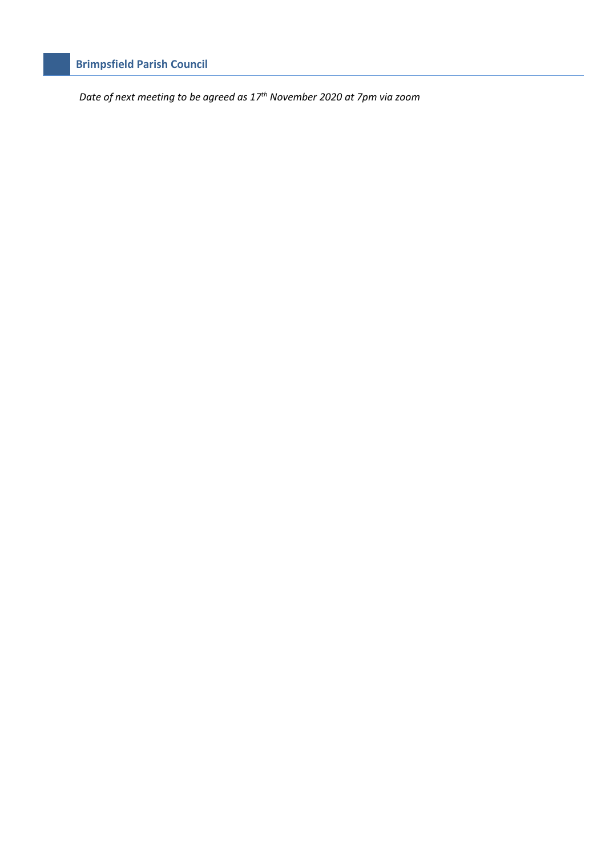# **Brimpsfield Parish Council**

*Date of next meeting to be agreed as 17th November 2020 at 7pm via zoom*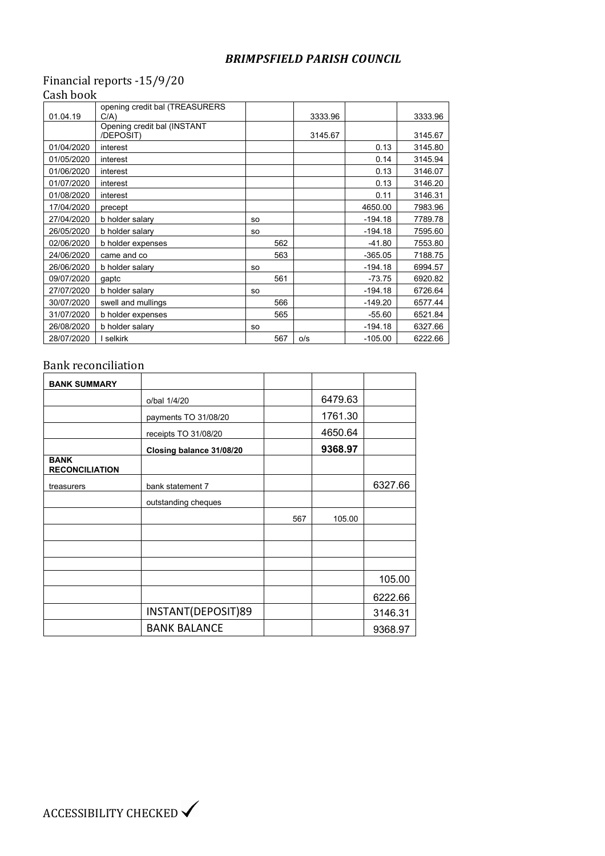### *BRIMPSFIELD PARISH COUNCIL*

## Financial reports -15/9/20 Cash book

| 01.04.19   | opening credit bal (TREASURERS<br>C/A) |           |     |         |           | 3333.96 |
|------------|----------------------------------------|-----------|-----|---------|-----------|---------|
|            | Opening credit bal (INSTANT            |           |     | 3333.96 |           |         |
|            | /DEPOSIT)                              |           |     | 3145.67 |           | 3145.67 |
| 01/04/2020 | interest                               |           |     |         | 0.13      | 3145.80 |
| 01/05/2020 | interest                               |           |     |         | 0.14      | 3145.94 |
| 01/06/2020 | interest                               |           |     |         | 0.13      | 3146.07 |
| 01/07/2020 | interest                               |           |     |         | 0.13      | 3146.20 |
| 01/08/2020 | interest                               |           |     |         | 0.11      | 3146.31 |
| 17/04/2020 | precept                                |           |     |         | 4650.00   | 7983.96 |
| 27/04/2020 | b holder salary                        | <b>SO</b> |     |         | $-194.18$ | 7789.78 |
| 26/05/2020 | b holder salary                        | <b>SO</b> |     |         | $-194.18$ | 7595.60 |
| 02/06/2020 | b holder expenses                      |           | 562 |         | $-41.80$  | 7553.80 |
| 24/06/2020 | came and co                            |           | 563 |         | $-365.05$ | 7188.75 |
| 26/06/2020 | b holder salary                        | <b>SO</b> |     |         | $-194.18$ | 6994.57 |
| 09/07/2020 | gaptc                                  |           | 561 |         | $-73.75$  | 6920.82 |
| 27/07/2020 | b holder salary                        | <b>SO</b> |     |         | $-194.18$ | 6726.64 |
| 30/07/2020 | swell and mullings                     |           | 566 |         | $-149.20$ | 6577.44 |
| 31/07/2020 | b holder expenses                      |           | 565 |         | $-55.60$  | 6521.84 |
| 26/08/2020 | b holder salary                        | <b>SO</b> |     |         | $-194.18$ | 6327.66 |
| 28/07/2020 | l selkirk                              |           | 567 | 0/s     | $-105.00$ | 6222.66 |

## Bank reconciliation

| <b>BANK SUMMARY</b>                  |                          |     |         |         |
|--------------------------------------|--------------------------|-----|---------|---------|
|                                      | o/bal 1/4/20             |     | 6479.63 |         |
|                                      | payments TO 31/08/20     |     | 1761.30 |         |
|                                      | receipts TO 31/08/20     |     | 4650.64 |         |
|                                      | Closing balance 31/08/20 |     | 9368.97 |         |
| <b>BANK</b><br><b>RECONCILIATION</b> |                          |     |         |         |
| treasurers                           | bank statement 7         |     |         | 6327.66 |
|                                      | outstanding cheques      |     |         |         |
|                                      |                          | 567 | 105.00  |         |
|                                      |                          |     |         |         |
|                                      |                          |     |         |         |
|                                      |                          |     |         |         |
|                                      |                          |     |         | 105.00  |
|                                      |                          |     |         | 6222.66 |
|                                      | INSTANT(DEPOSIT)89       |     |         | 3146.31 |
|                                      | <b>BANK BALANCE</b>      |     |         | 9368.97 |